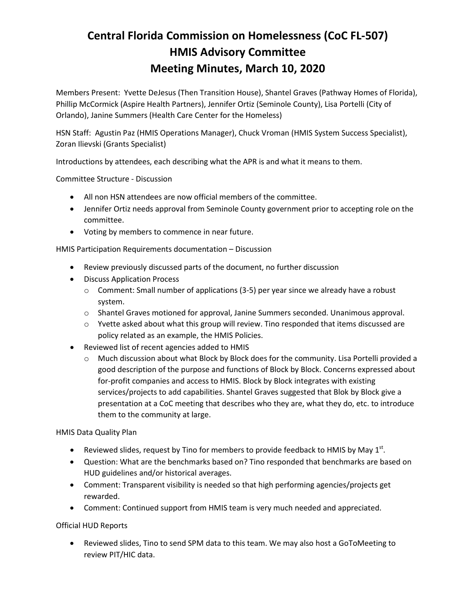# **Central Florida Commission on Homelessness (CoC FL-507) HMIS Advisory Committee Meeting Minutes, March 10, 2020**

Members Present: Yvette DeJesus (Then Transition House), Shantel Graves (Pathway Homes of Florida), Phillip McCormick (Aspire Health Partners), Jennifer Ortiz (Seminole County), Lisa Portelli (City of Orlando), Janine Summers (Health Care Center for the Homeless)

HSN Staff: Agustin Paz (HMIS Operations Manager), Chuck Vroman (HMIS System Success Specialist), Zoran Ilievski (Grants Specialist)

Introductions by attendees, each describing what the APR is and what it means to them.

Committee Structure - Discussion

- All non HSN attendees are now official members of the committee.
- Jennifer Ortiz needs approval from Seminole County government prior to accepting role on the committee.
- Voting by members to commence in near future.

HMIS Participation Requirements documentation – Discussion

- Review previously discussed parts of the document, no further discussion
- Discuss Application Process
	- $\circ$  Comment: Small number of applications (3-5) per year since we already have a robust system.
	- $\circ$  Shantel Graves motioned for approval, Janine Summers seconded. Unanimous approval.
	- $\circ$  Yvette asked about what this group will review. Tino responded that items discussed are policy related as an example, the HMIS Policies.
- Reviewed list of recent agencies added to HMIS
	- o Much discussion about what Block by Block does for the community. Lisa Portelli provided a good description of the purpose and functions of Block by Block. Concerns expressed about for-profit companies and access to HMIS. Block by Block integrates with existing services/projects to add capabilities. Shantel Graves suggested that Blok by Block give a presentation at a CoC meeting that describes who they are, what they do, etc. to introduce them to the community at large.

HMIS Data Quality Plan

- Reviewed slides, request by Tino for members to provide feedback to HMIS by May  $1<sup>st</sup>$ .
- Question: What are the benchmarks based on? Tino responded that benchmarks are based on HUD guidelines and/or historical averages.
- Comment: Transparent visibility is needed so that high performing agencies/projects get rewarded.
- Comment: Continued support from HMIS team is very much needed and appreciated.

Official HUD Reports

• Reviewed slides, Tino to send SPM data to this team. We may also host a GoToMeeting to review PIT/HIC data.